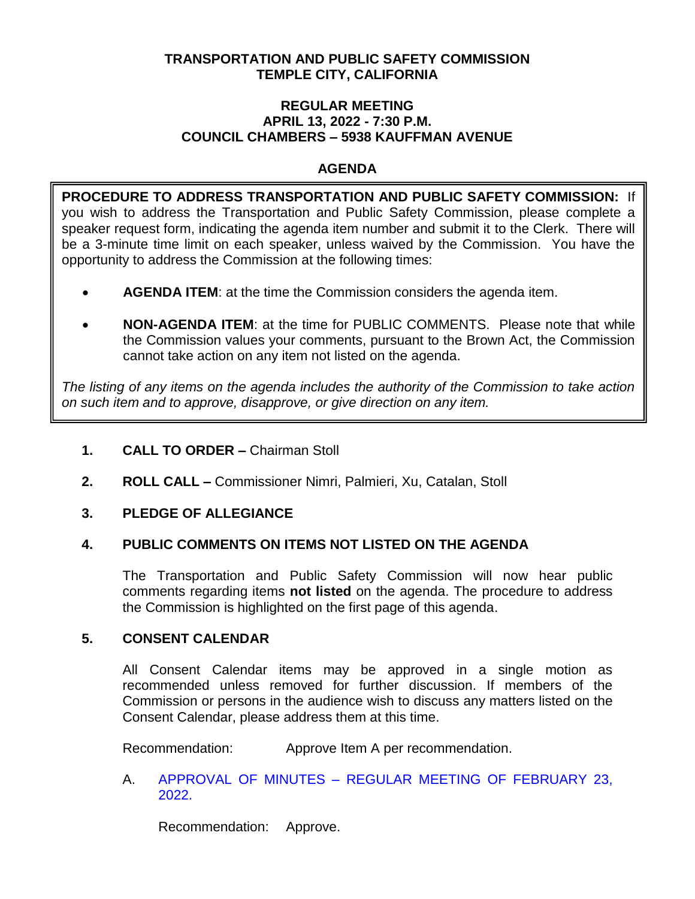# **TRANSPORTATION AND PUBLIC SAFETY COMMISSION TEMPLE CITY, CALIFORNIA**

#### **REGULAR MEETING APRIL 13, 2022 - 7:30 P.M. COUNCIL CHAMBERS – 5938 KAUFFMAN AVENUE**

# **AGENDA**

**PROCEDURE TO ADDRESS TRANSPORTATION AND PUBLIC SAFETY COMMISSION:** If you wish to address the Transportation and Public Safety Commission, please complete a speaker request form, indicating the agenda item number and submit it to the Clerk. There will be a 3-minute time limit on each speaker, unless waived by the Commission. You have the opportunity to address the Commission at the following times:

- **AGENDA ITEM**: at the time the Commission considers the agenda item.
- **NON-AGENDA ITEM**: at the time for PUBLIC COMMENTS. Please note that while the Commission values your comments, pursuant to the Brown Act, the Commission cannot take action on any item not listed on the agenda.

*The listing of any items on the agenda includes the authority of the Commission to take action on such item and to approve, disapprove, or give direction on any item.*

# **1. CALL TO ORDER –** Chairman Stoll

**2. ROLL CALL –** Commissioner Nimri, Palmieri, Xu, Catalan, Stoll

# **3. PLEDGE OF ALLEGIANCE**

# **4. PUBLIC COMMENTS ON ITEMS NOT LISTED ON THE AGENDA**

The Transportation and Public Safety Commission will now hear public comments regarding items **not listed** on the agenda. The procedure to address the Commission is highlighted on the first page of this agenda.

# **5. CONSENT CALENDAR**

All Consent Calendar items may be approved in a single motion as recommended unless removed for further discussion. If members of the Commission or persons in the audience wish to discuss any matters listed on the Consent Calendar, please address them at this time.

Recommendation: Approve Item A per recommendation.

# A. APPROVAL OF MINUTES – [REGULAR MEETING OF FEBRUARY 23,](/DocumentCenter/View/17673/TPSC-min-2022-02-23)  [2022.](/DocumentCenter/View/17673/TPSC-min-2022-02-23)

Recommendation: Approve.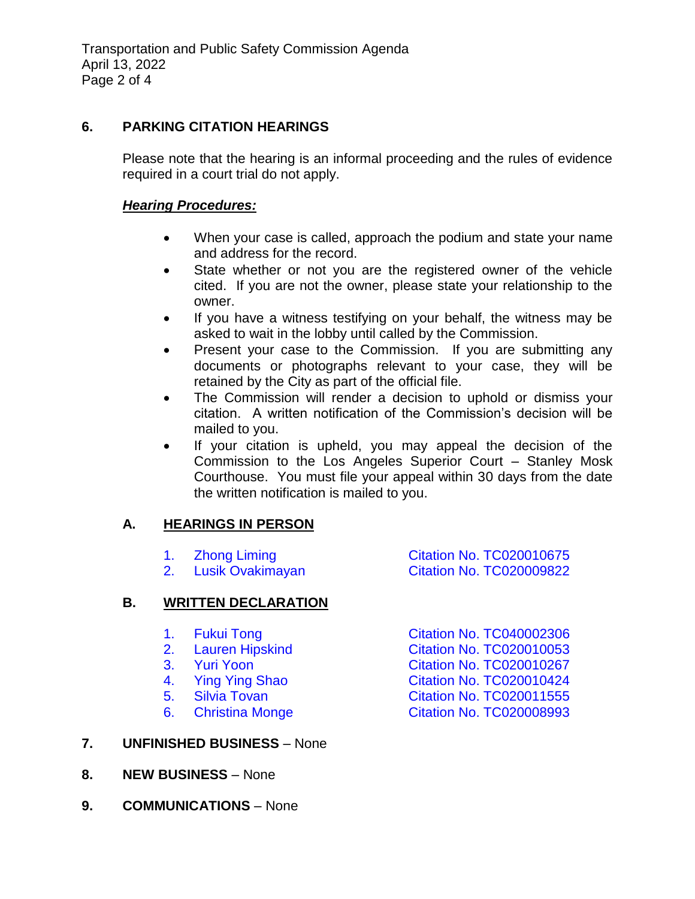# **6. PARKING CITATION HEARINGS**

Please note that the hearing is an informal proceeding and the rules of evidence required in a court trial do not apply.

### *Hearing Procedures:*

- When your case is called, approach the podium and state your name and address for the record.
- State whether or not you are the registered owner of the vehicle cited. If you are not the owner, please state your relationship to the owner.
- If you have a witness testifying on your behalf, the witness may be asked to wait in the lobby until called by the Commission.
- Present your case to the Commission. If you are submitting any documents or photographs relevant to your case, they will be retained by the City as part of the official file.
- The Commission will render a decision to uphold or dismiss your citation. A written notification of the Commission's decision will be mailed to you.
- If your citation is upheld, you may appeal the decision of the Commission to the Los Angeles Superior Court – Stanley Mosk Courthouse. You must file your appeal within 30 days from the date the written notification is mailed to you.

# **A. HEARINGS IN PERSON**

|    | 2. | <b>Zhong Liming</b><br>Lusik Ovakimayan | <b>Citation No. TC020010675</b><br><b>Citation No. TC020009822</b> |
|----|----|-----------------------------------------|--------------------------------------------------------------------|
| В. |    | <b>WRITTEN DECLARATION</b>              |                                                                    |
|    | 1. | <b>Fukui Tong</b>                       | <b>Citation No. TC040002306</b>                                    |
|    |    | 2. Lauren Hipskind                      | <b>Citation No. TC020010053</b>                                    |
|    | 3. | <b>Yuri Yoon</b>                        | <b>Citation No. TC020010267</b>                                    |
|    | 4. | <b>Ying Ying Shao</b>                   | <b>Citation No. TC020010424</b>                                    |
|    |    | 5. Silvia Tovan                         | <b>Citation No. TC020011555</b>                                    |
|    | 6. | <b>Christina Monge</b>                  | <b>Citation No. TC020008993</b>                                    |
|    |    |                                         |                                                                    |

# **7. UNFINISHED BUSINESS** – None

- **8. NEW BUSINESS** None
- **9. COMMUNICATIONS** None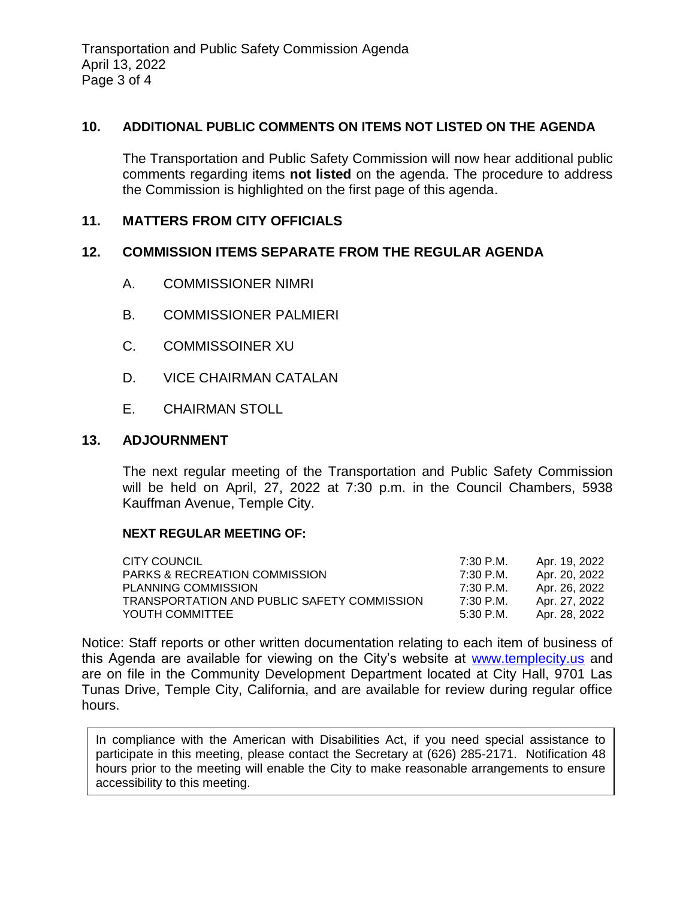### **10. ADDITIONAL PUBLIC COMMENTS ON ITEMS NOT LISTED ON THE AGENDA**

The Transportation and Public Safety Commission will now hear additional public comments regarding items **not listed** on the agenda. The procedure to address the Commission is highlighted on the first page of this agenda.

# **11. MATTERS FROM CITY OFFICIALS**

#### **12. COMMISSION ITEMS SEPARATE FROM THE REGULAR AGENDA**

- A. COMMISSIONER NIMRI
- B. COMMISSIONER PALMIERI
- C. COMMISSOINER XU
- D. VICE CHAIRMAN CATALAN
- E. CHAIRMAN STOLL

#### **13. ADJOURNMENT**

The next regular meeting of the Transportation and Public Safety Commission will be held on April, 27, 2022 at 7:30 p.m. in the Council Chambers, 5938 Kauffman Avenue, Temple City.

#### **NEXT REGULAR MEETING OF:**

| CITY COUNCIL                                | 7:30 P.M. | Apr. 19. 2022 |
|---------------------------------------------|-----------|---------------|
| <b>PARKS &amp; RECREATION COMMISSION</b>    | 7:30 P.M. | Apr. 20, 2022 |
| PLANNING COMMISSION                         | 7:30 P.M. | Apr. 26. 2022 |
| TRANSPORTATION AND PUBLIC SAFETY COMMISSION | 7:30 P.M. | Apr. 27, 2022 |
| YOUTH COMMITTEE                             | 5:30 P.M. | Apr. 28. 2022 |

Notice: Staff reports or other written documentation relating to each item of business of this Agenda are available for viewing on the City's website at [www.templecity.us](http://www.templecity.us/) and are on file in the Community Development Department located at City Hall, 9701 Las Tunas Drive, Temple City, California, and are available for review during regular office hours.

In compliance with the American with Disabilities Act, if you need special assistance to participate in this meeting, please contact the Secretary at (626) 285-2171. Notification 48 hours prior to the meeting will enable the City to make reasonable arrangements to ensure accessibility to this meeting.